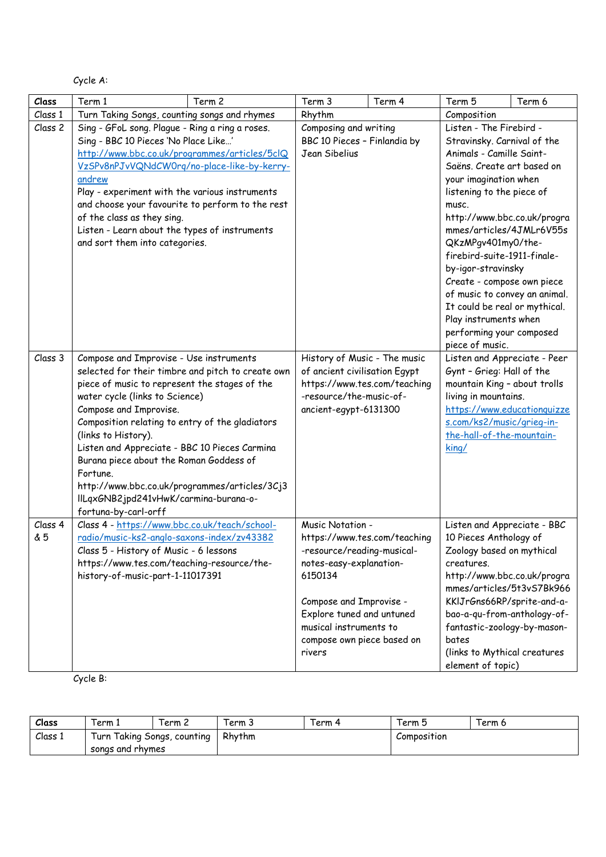Cycle A:

| Class          | Term 1<br>Term 2                                                                                                                                                                                                                                                                                                                                                                                                                                                                                              | Term 3                                                                                                                                                                                                         | Term 4                       | Term 5                                                                                                                                                                                                                                                                                                                                                                                                                                                                                        | Term 6                      |  |
|----------------|---------------------------------------------------------------------------------------------------------------------------------------------------------------------------------------------------------------------------------------------------------------------------------------------------------------------------------------------------------------------------------------------------------------------------------------------------------------------------------------------------------------|----------------------------------------------------------------------------------------------------------------------------------------------------------------------------------------------------------------|------------------------------|-----------------------------------------------------------------------------------------------------------------------------------------------------------------------------------------------------------------------------------------------------------------------------------------------------------------------------------------------------------------------------------------------------------------------------------------------------------------------------------------------|-----------------------------|--|
| Class 1        | Turn Taking Songs, counting songs and rhymes                                                                                                                                                                                                                                                                                                                                                                                                                                                                  |                                                                                                                                                                                                                | Rhythm                       |                                                                                                                                                                                                                                                                                                                                                                                                                                                                                               | Composition                 |  |
| Class 2        | Sing - GFoL song. Plague - Ring a ring a roses.<br>Sing - BBC 10 Pieces 'No Place Like'<br>http://www.bbc.co.uk/programmes/articles/5clQ<br>VzSPv8nPJvVQNdCW0rg/no-place-like-by-kerry-<br>andrew<br>Play - experiment with the various instruments<br>and choose your favourite to perform to the rest<br>of the class as they sing.<br>Listen - Learn about the types of instruments<br>and sort them into categories.                                                                                      | Composing and writing<br>BBC 10 Pieces - Finlandia by<br>Jean Sibelius                                                                                                                                         |                              | Listen - The Firebird -<br>Stravinsky. Carnival of the<br>Animals - Camille Saint-<br>Saëns. Create art based on<br>your imagination when<br>listening to the piece of<br>musc.<br>http://www.bbc.co.uk/progra<br>mmes/articles/4JMLr6V55s<br>QKzMPgv401my0/the-<br>firebird-suite-1911-finale-<br>by-igor-stravinsky<br>Create - compose own piece<br>of music to convey an animal.<br>It could be real or mythical.<br>Play instruments when<br>performing your composed<br>piece of music. |                             |  |
| Class 3        | Compose and Improvise - Use instruments<br>selected for their timbre and pitch to create own<br>piece of music to represent the stages of the<br>water cycle (links to Science)<br>Compose and Improvise.<br>Composition relating to entry of the gladiators<br>(links to History).<br>Listen and Appreciate - BBC 10 Pieces Carmina<br>Burana piece about the Roman Goddess of<br>Fortune.<br>http://www.bbc.co.uk/programmes/articles/3Cj3<br>IILqxGNB2jpd241vHwK/carmina-burana-o-<br>fortuna-by-carl-orff | History of Music - The music<br>of ancient civilisation Egypt<br>-resource/the-music-of-<br>ancient-egypt-6131300                                                                                              | https://www.tes.com/teaching | Listen and Appreciate - Peer<br>Gynt - Grieg: Hall of the<br>mountain King - about trolls<br>living in mountains.<br>s.com/ks2/music/grieg-in-<br>the-hall-of-the-mountain-<br>king/                                                                                                                                                                                                                                                                                                          | https://www.educationquizze |  |
| Class 4<br>& 5 | Class 4 - https://www.bbc.co.uk/teach/school-<br>radio/music-ks2-anglo-saxons-index/zv43382<br>Class 5 - History of Music - 6 lessons<br>https://www.tes.com/teaching-resource/the-<br>history-of-music-part-1-11017391                                                                                                                                                                                                                                                                                       | Music Notation -<br>-resource/reading-musical-<br>notes-easy-explanation-<br>6150134<br>Compose and Improvise -<br>Explore tuned and untuned<br>musical instruments to<br>compose own piece based on<br>rivers | https://www.tes.com/teaching | Listen and Appreciate - BBC<br>10 Pieces Anthology of<br>Zoology based on mythical<br>creatures.<br>http://www.bbc.co.uk/progra<br>KKIJrGns66RP/sprite-and-a-<br>bao-a-qu-from-anthology-of-<br>fantastic-zoology-by-mason-<br>bates<br>(links to Mythical creatures<br>element of topic)                                                                                                                                                                                                     | mmes/articles/5t3vS7Bk966   |  |

Cycle B:

| Class   | 'erm ì                                             | Term 2 | erm 3  | Ferm 4 | lerm 5      | Term 6 |
|---------|----------------------------------------------------|--------|--------|--------|-------------|--------|
| Class 1 | Taking Songs, counting<br>Turn<br>songs and rhymes |        | Rhythm |        | Composition |        |